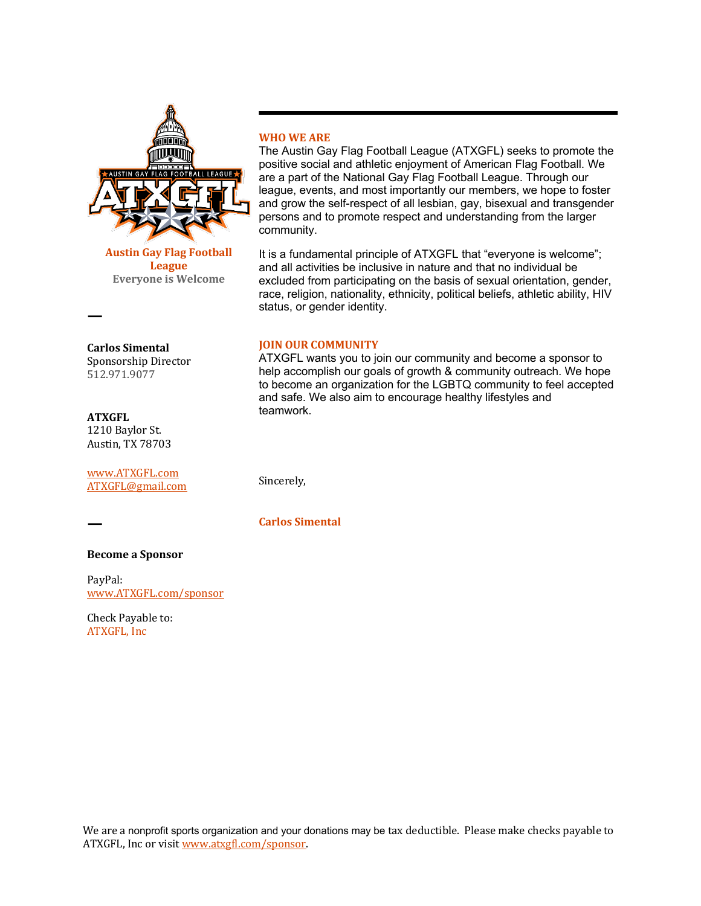

**Austin Gay Flag Football League Everyone is Welcome** 

## **Carlos Simental** Sponsorship Director 512.971.9077

# **ATXGFL** 1210 Baylor St. Austin, TX 78703

www.ATXGFL.com ATXGFL@gmail.com

**ㅡ**

**ㅡ**

## **Become a Sponsor**

PayPal: www.ATXGFL.com/sponsor

Check Payable to: ATXGFL, Inc.

# **WHO WE ARE**

The Austin Gay Flag Football League (ATXGFL) seeks to promote the positive social and athletic enjoyment of American Flag Football. We are a part of the National Gay Flag Football League. Through our league, events, and most importantly our members, we hope to foster and grow the self-respect of all lesbian, gay, bisexual and transgender persons and to promote respect and understanding from the larger community.

It is a fundamental principle of ATXGFL that "everyone is welcome"; and all activities be inclusive in nature and that no individual be excluded from participating on the basis of sexual orientation, gender, race, religion, nationality, ethnicity, political beliefs, athletic ability, HIV status, or gender identity.

#### **JOIN OUR COMMUNITY**

ATXGFL wants you to join our community and become a sponsor to help accomplish our goals of growth & community outreach. We hope to become an organization for the LGBTQ community to feel accepted and safe. We also aim to encourage healthy lifestyles and teamwork.

Sincerely,

**Carlos Simental**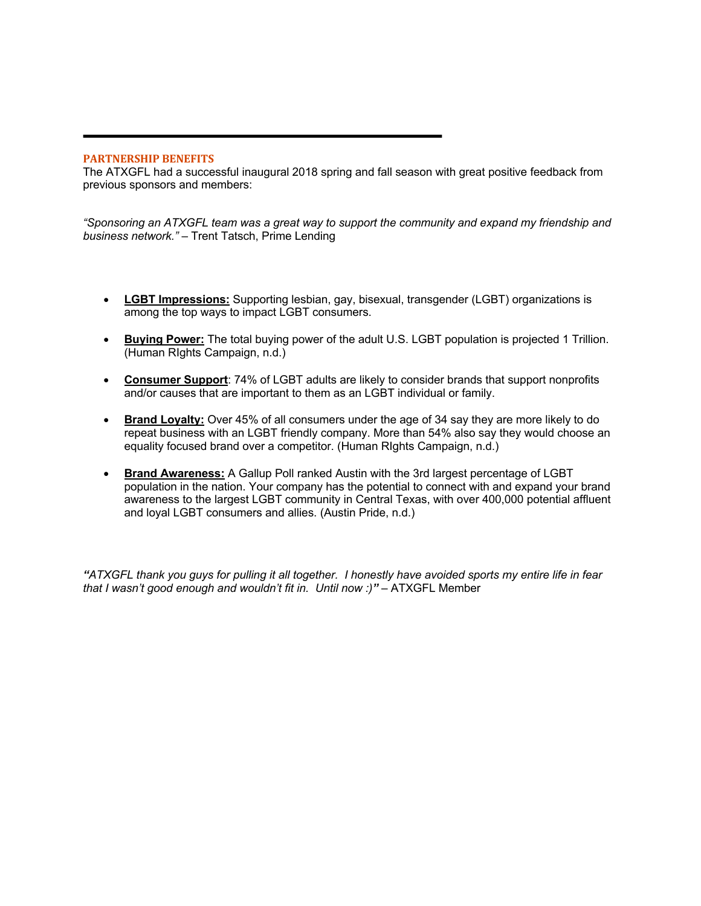#### **PARTNERSHIP BENEFITS**

The ATXGFL had a successful inaugural 2018 spring and fall season with great positive feedback from previous sponsors and members:

*"Sponsoring an ATXGFL team was a great way to support the community and expand my friendship and business network."* – Trent Tatsch, Prime Lending

- **LGBT Impressions:** Supporting lesbian, gay, bisexual, transgender (LGBT) organizations is among the top ways to impact LGBT consumers.
- **Buying Power:** The total buying power of the adult U.S. LGBT population is projected 1 Trillion. (Human RIghts Campaign, n.d.)
- **Consumer Support**: 74% of LGBT adults are likely to consider brands that support nonprofits and/or causes that are important to them as an LGBT individual or family.
- **Brand Loyalty:** Over 45% of all consumers under the age of 34 say they are more likely to do repeat business with an LGBT friendly company. More than 54% also say they would choose an equality focused brand over a competitor. (Human RIghts Campaign, n.d.)
- **Brand Awareness:** A Gallup Poll ranked Austin with the 3rd largest percentage of LGBT population in the nation. Your company has the potential to connect with and expand your brand awareness to the largest LGBT community in Central Texas, with over 400,000 potential affluent and loyal LGBT consumers and allies. (Austin Pride, n.d.)

*"ATXGFL thank you guys for pulling it all together. I honestly have avoided sports my entire life in fear that I wasn't good enough and wouldn't fit in. Until now :)"* – ATXGFL Member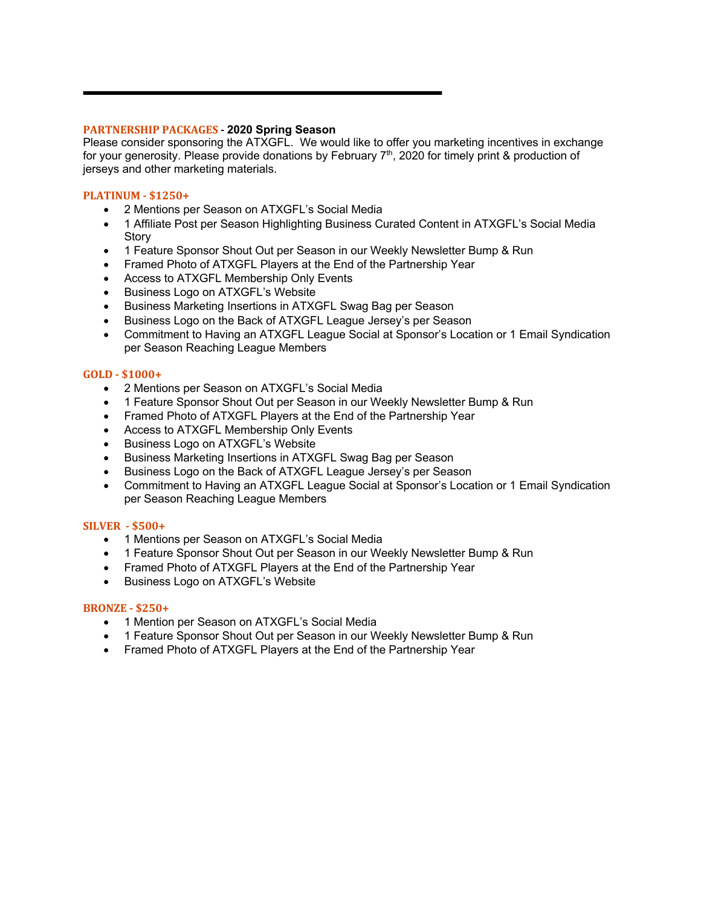## **PARTNERSHIP PACKAGES - 2020 Spring Season**

Please consider sponsoring the ATXGFL. We would like to offer you marketing incentives in exchange for your generosity. Please provide donations by February  $7<sup>th</sup>$ , 2020 for timely print & production of jerseys and other marketing materials. 

#### **PLATINUM - \$1250+**

- 2 Mentions per Season on ATXGFL's Social Media
- 1 Affiliate Post per Season Highlighting Business Curated Content in ATXGFL's Social Media **Story**
- 1 Feature Sponsor Shout Out per Season in our Weekly Newsletter Bump & Run
- Framed Photo of ATXGFL Players at the End of the Partnership Year
- Access to ATXGFL Membership Only Events
- Business Logo on ATXGFL's Website
- Business Marketing Insertions in ATXGFL Swag Bag per Season
- Business Logo on the Back of ATXGFL League Jersey's per Season
- Commitment to Having an ATXGFL League Social at Sponsor's Location or 1 Email Syndication per Season Reaching League Members

## **GOLD - \$1000+**

- 2 Mentions per Season on ATXGFL's Social Media
- 1 Feature Sponsor Shout Out per Season in our Weekly Newsletter Bump & Run
- Framed Photo of ATXGFL Players at the End of the Partnership Year
- Access to ATXGFL Membership Only Events
- Business Logo on ATXGFL's Website
- Business Marketing Insertions in ATXGFL Swag Bag per Season
- Business Logo on the Back of ATXGFL League Jersey's per Season
- Commitment to Having an ATXGFL League Social at Sponsor's Location or 1 Email Syndication per Season Reaching League Members

#### **SILVER - \$500+**

- 1 Mentions per Season on ATXGFL's Social Media
- 1 Feature Sponsor Shout Out per Season in our Weekly Newsletter Bump & Run
- Framed Photo of ATXGFL Players at the End of the Partnership Year
- Business Logo on ATXGFL's Website

#### **BRONZE - \$250+**

- 1 Mention per Season on ATXGFL's Social Media
- 1 Feature Sponsor Shout Out per Season in our Weekly Newsletter Bump & Run
- Framed Photo of ATXGFL Players at the End of the Partnership Year